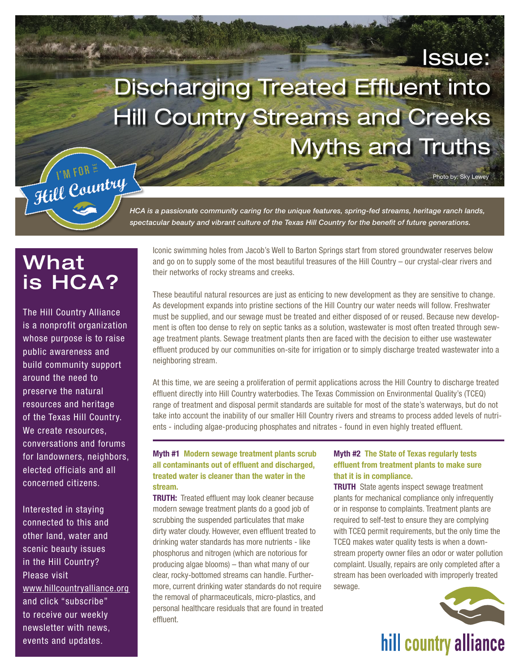# Discharging Treated Effluent into Hill Country Streams and Creeks Myths and Truths



*HCA is a passionate community caring for the unique features, spring-fed streams, heritage ranch lands, spectacular beauty and vibrant culture of the Texas Hill Country for the benefit of future generations.*

# What is HCA?

The Hill Country Alliance is a nonprofit organization whose purpose is to raise public awareness and build community support around the need to preserve the natural resources and heritage of the Texas Hill Country. We create resources, conversations and forums for landowners, neighbors, elected officials and all concerned citizens.

Interested in staying connected to this and other land, water and scenic beauty issues in the Hill Country? Please visit [www.hillcountryalliance.org](http://www.hillcountryalliance.org)  and click "subscribe" to receive our weekly newsletter with news, events and updates.

Iconic swimming holes from Jacob's Well to Barton Springs start from stored groundwater reserves below and go on to supply some of the most beautiful treasures of the Hill Country – our crystal-clear rivers and their networks of rocky streams and creeks.

These beautiful natural resources are just as enticing to new development as they are sensitive to change. As development expands into pristine sections of the Hill Country our water needs will follow. Freshwater must be supplied, and our sewage must be treated and either disposed of or reused. Because new development is often too dense to rely on septic tanks as a solution, wastewater is most often treated through sewage treatment plants. Sewage treatment plants then are faced with the decision to either use wastewater effluent produced by our communities on-site for irrigation or to simply discharge treated wastewater into a neighboring stream.

At this time, we are seeing a proliferation of permit applications across the Hill Country to discharge treated effluent directly into Hill Country waterbodies. The Texas Commission on Environmental Quality's (TCEQ) range of treatment and disposal permit standards are suitable for most of the state's waterways, but do not take into account the inability of our smaller Hill Country rivers and streams to process added levels of nutrients - including algae-producing phosphates and nitrates - found in even highly treated effluent.

### Myth #1 Modern sewage treatment plants scrub all contaminants out of effluent and discharged, treated water is cleaner than the water in the stream.

**TRUTH:** Treated effluent may look cleaner because modern sewage treatment plants do a good job of scrubbing the suspended particulates that make dirty water cloudy. However, even effluent treated to drinking water standards has more nutrients - like phosphorus and nitrogen (which are notorious for producing algae blooms) – than what many of our clear, rocky-bottomed streams can handle. Furthermore, current drinking water standards do not require the removal of pharmaceuticals, micro-plastics, and personal healthcare residuals that are found in treated effluent.

#### Myth #2 The State of Texas regularly tests effluent from treatment plants to make sure that it is in compliance.

**TRUTH** State agents inspect sewage treatment plants for mechanical compliance only infrequently or in response to complaints. Treatment plants are required to self-test to ensure they are complying with TCEQ permit requirements, but the only time the TCEQ makes water quality tests is when a downstream property owner files an odor or water pollution complaint. Usually, repairs are only completed after a stream has been overloaded with improperly treated sewage.



Issue:

Photo by: Sky Lewey